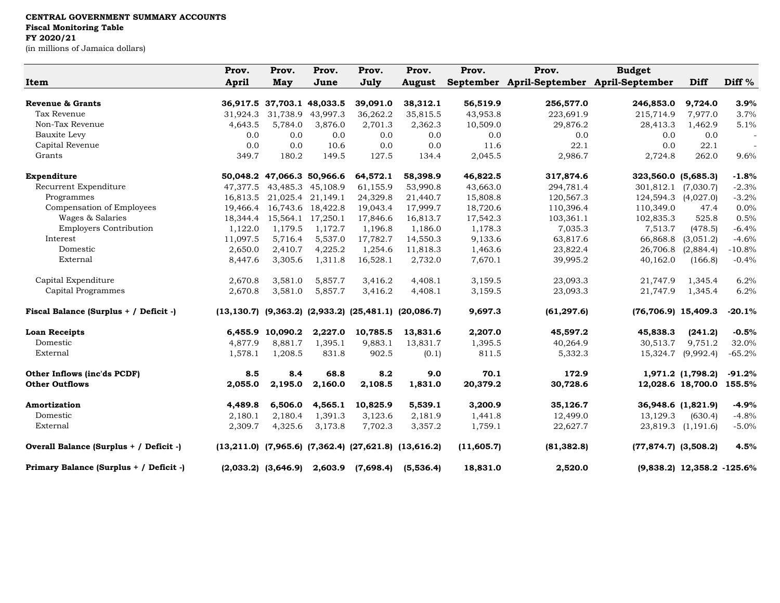|                                         | Prov.        | Prov.                      | Prov.                      | Prov.     | Prov.                                                               | Prov.      | Prov.                                     | <b>Budget</b>            |                              |                   |
|-----------------------------------------|--------------|----------------------------|----------------------------|-----------|---------------------------------------------------------------------|------------|-------------------------------------------|--------------------------|------------------------------|-------------------|
| Item                                    | <b>April</b> | May                        | June                       | July      | <b>August</b>                                                       |            | September April-September April-September |                          | Diff                         | Diff <sup>%</sup> |
| Revenue & Grants                        |              | 36,917.5 37,703.1 48,033.5 |                            | 39,091.0  | 38,312.1                                                            | 56,519.9   | 256,577.0                                 | 246,853.0                | 9,724.0                      | 3.9%              |
| Tax Revenue                             | 31,924.3     | 31,738.9                   | 43,997.3                   | 36,262.2  | 35,815.5                                                            | 43,953.8   | 223,691.9                                 | 215,714.9                | 7,977.0                      | 3.7%              |
| Non-Tax Revenue                         | 4,643.5      | 5,784.0                    | 3,876.0                    | 2,701.3   | 2,362.3                                                             | 10,509.0   | 29,876.2                                  | 28,413.3                 | 1,462.9                      | 5.1%              |
| Bauxite Levy                            | 0.0          | 0.0                        | 0.0                        | 0.0       | 0.0                                                                 | 0.0        | 0.0                                       | 0.0                      | 0.0                          |                   |
| Capital Revenue                         | 0.0          | 0.0                        | 10.6                       | 0.0       | 0.0                                                                 | 11.6       | 22.1                                      | 0.0                      | 22.1                         |                   |
| Grants                                  | 349.7        | 180.2                      | 149.5                      | 127.5     | 134.4                                                               | 2,045.5    | 2,986.7                                   | 2,724.8                  | 262.0                        | 9.6%              |
| Expenditure                             |              |                            | 50,048.2 47,066.3 50,966.6 | 64,572.1  | 58,398.9                                                            | 46,822.5   | 317,874.6                                 | 323,560.0 (5,685.3)      |                              | $-1.8%$           |
| Recurrent Expenditure                   | 47.377.5     |                            | 43,485.3 45,108.9          | 61,155.9  | 53,990.8                                                            | 43,663.0   | 294,781.4                                 |                          | 301,812.1 (7,030.7)          | $-2.3%$           |
| Programmes                              | 16,813.5     |                            | 21,025.4 21,149.1          | 24,329.8  | 21,440.7                                                            | 15,808.8   | 120,567.3                                 |                          | 124,594.3 (4,027.0)          | $-3.2%$           |
| Compensation of Employees               | 19.466.4     |                            | 16,743.6 18,422.8          | 19,043.4  | 17,999.7                                                            | 18,720.6   | 110,396.4                                 | 110,349.0                | 47.4                         | 0.0%              |
| Wages & Salaries                        | 18,344.4     |                            | 15,564.1 17,250.1          | 17,846.6  | 16,813.7                                                            | 17,542.3   | 103,361.1                                 | 102,835.3                | 525.8                        | 0.5%              |
| <b>Employers Contribution</b>           | 1,122.0      | 1,179.5                    | 1,172.7                    | 1,196.8   | 1,186.0                                                             | 1,178.3    | 7,035.3                                   | 7,513.7                  | (478.5)                      | $-6.4%$           |
| Interest                                | 11,097.5     | 5,716.4                    | 5,537.0                    | 17,782.7  | 14,550.3                                                            | 9,133.6    | 63,817.6                                  | 66,868.8                 | (3,051.2)                    | $-4.6%$           |
| Domestic                                | 2,650.0      | 2,410.7                    | 4,225.2                    | 1,254.6   | 11,818.3                                                            | 1,463.6    | 23,822.4                                  | 26,706.8                 | (2,884.4)                    | $-10.8%$          |
| External                                | 8,447.6      | 3,305.6                    | 1,311.8                    | 16,528.1  | 2,732.0                                                             | 7,670.1    | 39,995.2                                  | 40,162.0                 | (166.8)                      | $-0.4%$           |
| Capital Expenditure                     | 2,670.8      | 3,581.0                    | 5,857.7                    | 3,416.2   | 4,408.1                                                             | 3,159.5    | 23,093.3                                  | 21,747.9                 | 1,345.4                      | 6.2%              |
| Capital Programmes                      | 2,670.8      | 3,581.0                    | 5,857.7                    | 3,416.2   | 4,408.1                                                             | 3,159.5    | 23,093.3                                  | 21,747.9                 | 1,345.4                      | 6.2%              |
| Fiscal Balance (Surplus + / Deficit -)  |              |                            |                            |           | $(13, 130.7)$ $(9, 363.2)$ $(2, 933.2)$ $(25, 481.1)$ $(20, 086.7)$ | 9,697.3    | (61, 297.6)                               | $(76, 706.9)$ 15,409.3   |                              | $-20.1%$          |
| <b>Loan Receipts</b>                    |              | 6,455.9 10,090.2           | 2,227.0                    | 10,785.5  | 13,831.6                                                            | 2,207.0    | 45,597.2                                  | 45,838.3                 | (241.2)                      | $-0.5%$           |
| Domestic                                | 4,877.9      | 8,881.7                    | 1,395.1                    | 9,883.1   | 13,831.7                                                            | 1,395.5    | 40,264.9                                  | 30,513.7                 | 9,751.2                      | 32.0%             |
| External                                | 1,578.1      | 1,208.5                    | 831.8                      | 902.5     | (0.1)                                                               | 811.5      | 5,332.3                                   | 15,324.7                 | (9,992.4)                    | $-65.2%$          |
| Other Inflows (inc'ds PCDF)             | 8.5          | 8.4                        | 68.8                       | 8.2       | 9.0                                                                 | 70.1       | 172.9                                     |                          | 1,971.2 (1,798.2)            | $-91.2%$          |
| <b>Other Outflows</b>                   | 2,055.0      | 2,195.0                    | 2,160.0                    | 2,108.5   | 1,831.0                                                             | 20,379.2   | 30,728.6                                  |                          | 12,028.6 18,700.0            | 155.5%            |
| <b>Amortization</b>                     | 4,489.8      | 6,506.0                    | 4,565.1                    | 10,825.9  | 5,539.1                                                             | 3,200.9    | 35,126.7                                  |                          | 36,948.6 (1,821.9)           | $-4.9%$           |
| Domestic                                | 2,180.1      | 2,180.4                    | 1,391.3                    | 3,123.6   | 2,181.9                                                             | 1,441.8    | 12,499.0                                  | 13,129.3                 | (630.4)                      | $-4.8%$           |
| External                                | 2,309.7      | 4,325.6                    | 3,173.8                    | 7,702.3   | 3,357.2                                                             | 1,759.1    | 22,627.7                                  |                          | 23,819.3 (1,191.6)           | $-5.0%$           |
| Overall Balance (Surplus + / Deficit -) |              |                            |                            |           | $(13,211.0)$ $(7,965.6)$ $(7,362.4)$ $(27,621.8)$ $(13,616.2)$      | (11,605.7) | (81, 382.8)                               | $(77,874.7)$ $(3,508.2)$ |                              | 4.5%              |
| Primary Balance (Surplus + / Deficit -) |              | $(2,033.2)$ $(3,646.9)$    | 2,603.9                    | (7,698.4) | (5,536.4)                                                           | 18,831.0   | 2,520.0                                   |                          | $(9,838.2)$ 12,358.2 -125.6% |                   |